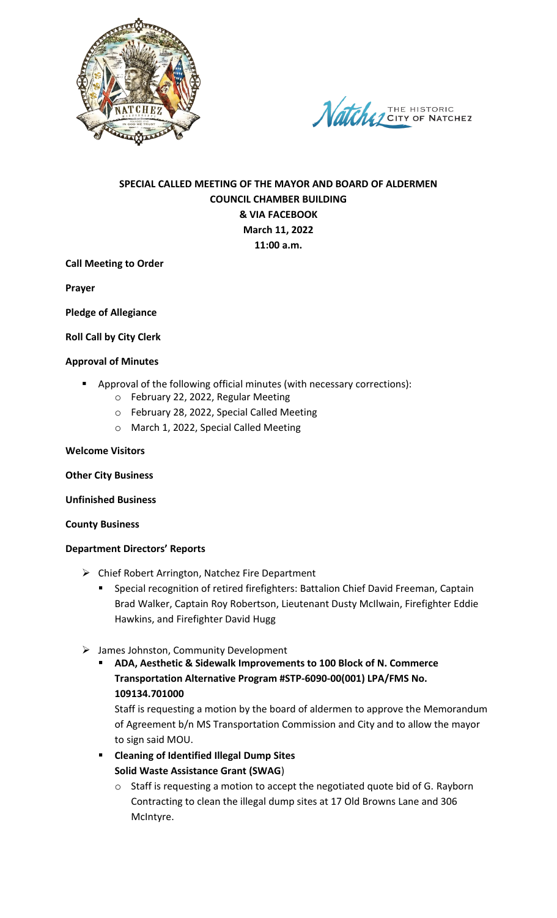



# **SPECIAL CALLED MEETING OF THE MAYOR AND BOARD OF ALDERMEN COUNCIL CHAMBER BUILDING & VIA FACEBOOK March 11, 2022 11:00 a.m.**

### **Call Meeting to Order**

**Prayer**

**Pledge of Allegiance**

### **Roll Call by City Clerk**

#### **Approval of Minutes**

- Approval of the following official minutes (with necessary corrections):
	- o February 22, 2022, Regular Meeting
	- o February 28, 2022, Special Called Meeting
	- o March 1, 2022, Special Called Meeting

#### **Welcome Visitors**

#### **Other City Business**

#### **Unfinished Business**

#### **County Business**

#### **Department Directors' Reports**

- Chief Robert Arrington, Natchez Fire Department
	- Special recognition of retired firefighters: Battalion Chief David Freeman, Captain Brad Walker, Captain Roy Robertson, Lieutenant Dusty McIlwain, Firefighter Eddie Hawkins, and Firefighter David Hugg
- $\triangleright$  James Johnston, Community Development
	- **ADA, Aesthetic & Sidewalk Improvements to 100 Block of N. Commerce Transportation Alternative Program #STP-6090-00(001) LPA/FMS No. 109134.701000**

Staff is requesting a motion by the board of aldermen to approve the Memorandum of Agreement b/n MS Transportation Commission and City and to allow the mayor to sign said MOU.

- **Cleaning of Identified Illegal Dump Sites Solid Waste Assistance Grant (SWAG**)
	- o Staff is requesting a motion to accept the negotiated quote bid of G. Rayborn Contracting to clean the illegal dump sites at 17 Old Browns Lane and 306 McIntyre.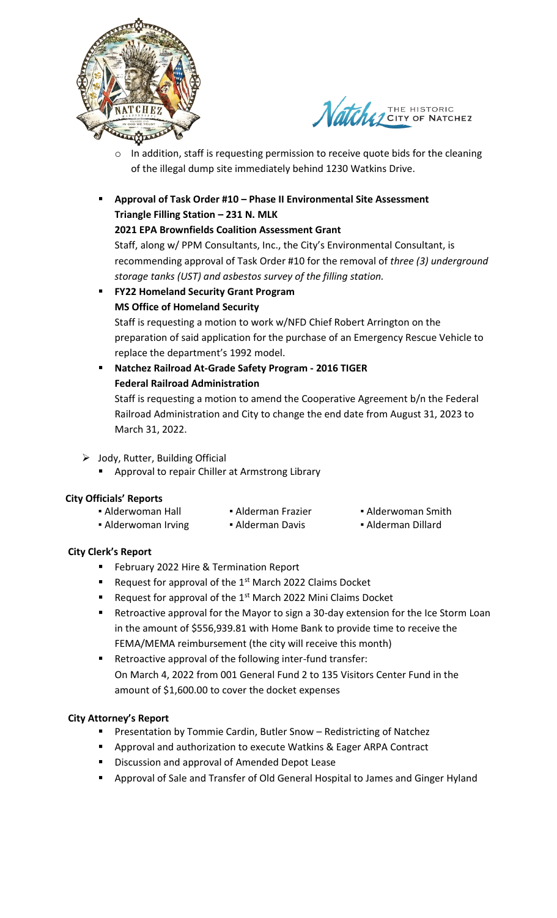



- o In addition, staff is requesting permission to receive quote bids for the cleaning of the illegal dump site immediately behind 1230 Watkins Drive.
- **Approval of Task Order #10 – Phase II Environmental Site Assessment Triangle Filling Station – 231 N. MLK**

## **2021 EPA Brownfields Coalition Assessment Grant**

Staff, along w/ PPM Consultants, Inc., the City's Environmental Consultant, is recommending approval of Task Order #10 for the removal of *three (3) underground storage tanks (UST) and asbestos survey of the filling station.*

- **FY22 Homeland Security Grant Program MS Office of Homeland Security** Staff is requesting a motion to work w/NFD Chief Robert Arrington on the preparation of said application for the purchase of an Emergency Rescue Vehicle to replace the department's 1992 model.
	- **Natchez Railroad At-Grade Safety Program - 2016 TIGER Federal Railroad Administration** Staff is requesting a motion to amend the Cooperative Agreement b/n the Federal Railroad Administration and City to change the end date from August 31, 2023 to March 31, 2022.
- $\triangleright$  Jody, Rutter, Building Official
	- Approval to repair Chiller at Armstrong Library

# **City Officials' Reports**

| • Alderwoman Hall   | • Alderman Frazier | • Alderwoman Smi   |
|---------------------|--------------------|--------------------|
| • Alderwoman Irving | • Alderman Davis   | • Alderman Dillard |

oman Smith

# **City Clerk's Report**

- **February 2022 Hire & Termination Report**
- Request for approval of the  $1<sup>st</sup>$  March 2022 Claims Docket
- Request for approval of the  $1<sup>st</sup>$  March 2022 Mini Claims Docket
- Retroactive approval for the Mayor to sign a 30-day extension for the Ice Storm Loan in the amount of \$556,939.81 with Home Bank to provide time to receive the FEMA/MEMA reimbursement (the city will receive this month)
- Retroactive approval of the following inter-fund transfer: On March 4, 2022 from 001 General Fund 2 to 135 Visitors Center Fund in the amount of \$1,600.00 to cover the docket expenses

# **City Attorney's Report**

- **Presentation by Tommie Cardin, Butler Snow Redistricting of Natchez**
- **Approval and authorization to execute Watkins & Eager ARPA Contract**
- **Discussion and approval of Amended Depot Lease**
- Approval of Sale and Transfer of Old General Hospital to James and Ginger Hyland